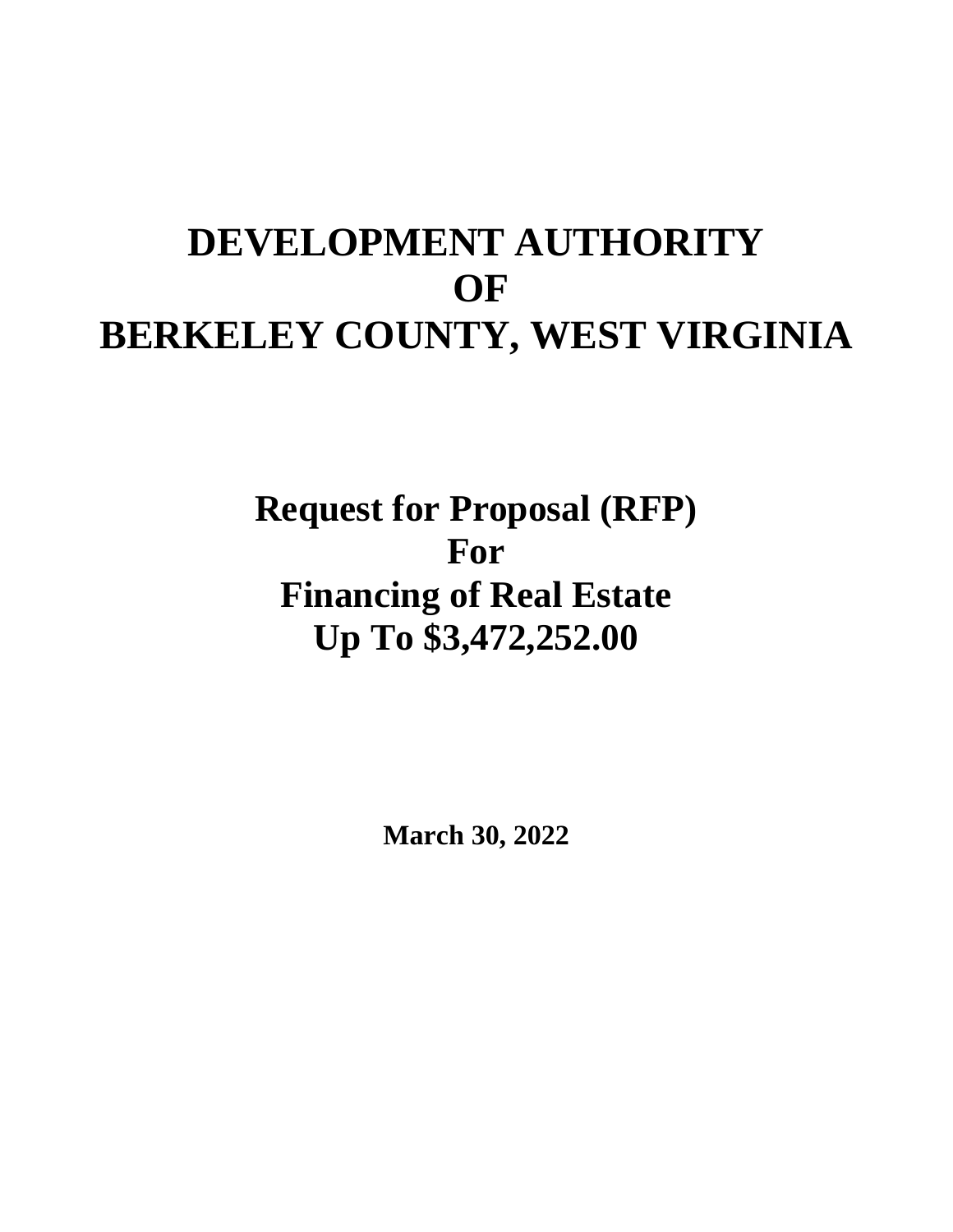# **DEVELOPMENT AUTHORITY OF BERKELEY COUNTY, WEST VIRGINIA**

**Request for Proposal (RFP) For Financing of Real Estate Up To \$3,472,252.00**

**March 30, 2022**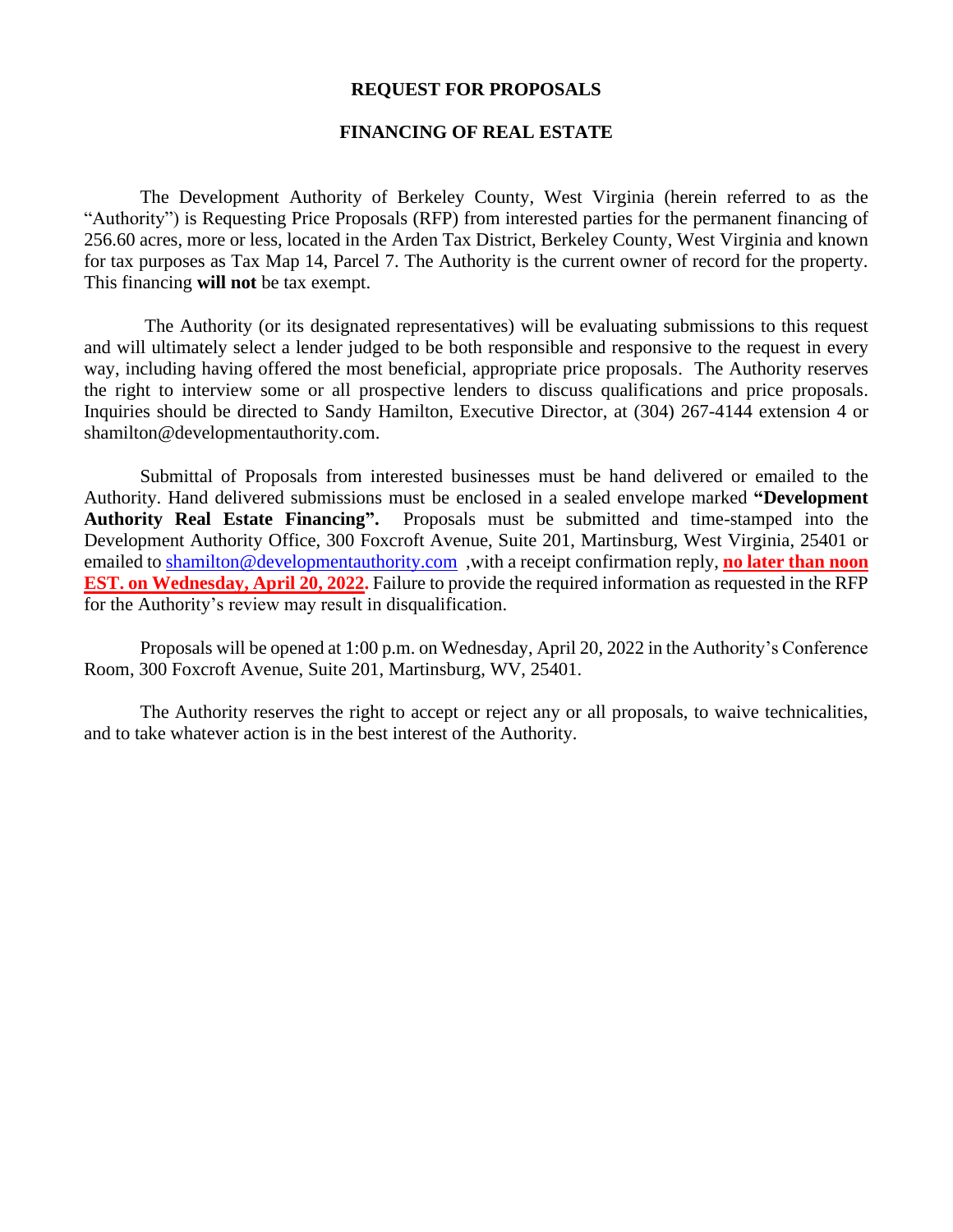#### **REQUEST FOR PROPOSALS**

#### **FINANCING OF REAL ESTATE**

The Development Authority of Berkeley County, West Virginia (herein referred to as the "Authority") is Requesting Price Proposals (RFP) from interested parties for the permanent financing of 256.60 acres, more or less, located in the Arden Tax District, Berkeley County, West Virginia and known for tax purposes as Tax Map 14, Parcel 7. The Authority is the current owner of record for the property. This financing **will not** be tax exempt.

The Authority (or its designated representatives) will be evaluating submissions to this request and will ultimately select a lender judged to be both responsible and responsive to the request in every way, including having offered the most beneficial, appropriate price proposals. The Authority reserves the right to interview some or all prospective lenders to discuss qualifications and price proposals. Inquiries should be directed to Sandy Hamilton, Executive Director, at (304) 267-4144 extension 4 or shamilton@developmentauthority.com.

Submittal of Proposals from interested businesses must be hand delivered or emailed to the Authority. Hand delivered submissions must be enclosed in a sealed envelope marked **"Development Authority Real Estate Financing".** Proposals must be submitted and time-stamped into the Development Authority Office, 300 Foxcroft Avenue, Suite 201, Martinsburg, West Virginia, 25401 or emailed to [shamilton@developmentauthority.com](mailto:shamilton@developmentauthority.com) ,with a receipt confirmation reply, **no later than noon EST. on Wednesday, April 20, 2022.** Failure to provide the required information as requested in the RFP for the Authority's review may result in disqualification.

Proposals will be opened at 1:00 p.m. on Wednesday, April 20, 2022 in the Authority's Conference Room, 300 Foxcroft Avenue, Suite 201, Martinsburg, WV, 25401.

The Authority reserves the right to accept or reject any or all proposals, to waive technicalities, and to take whatever action is in the best interest of the Authority.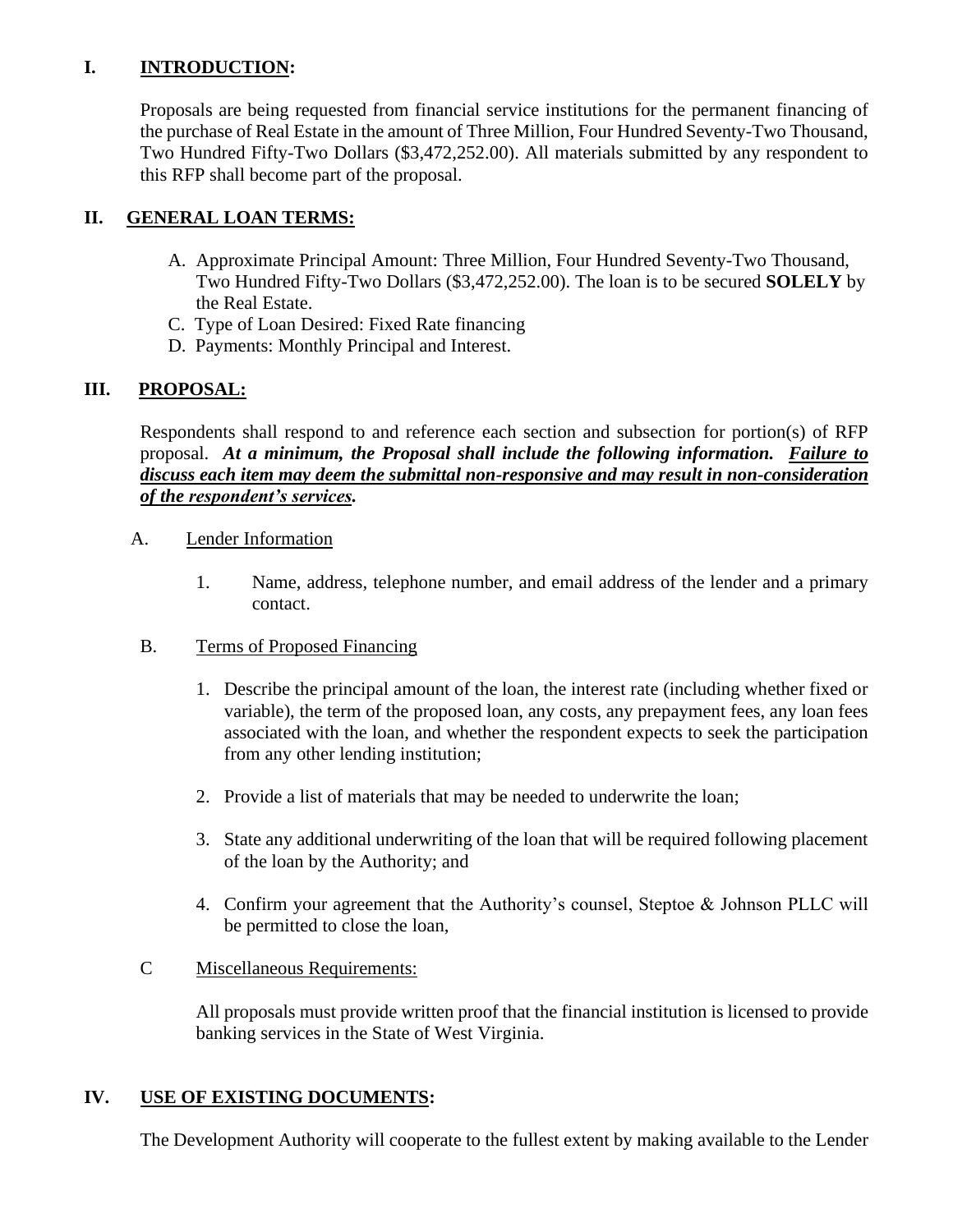# **I. INTRODUCTION:**

Proposals are being requested from financial service institutions for the permanent financing of the purchase of Real Estate in the amount of Three Million, Four Hundred Seventy-Two Thousand, Two Hundred Fifty-Two Dollars (\$3,472,252.00). All materials submitted by any respondent to this RFP shall become part of the proposal.

# **II. GENERAL LOAN TERMS:**

- A. Approximate Principal Amount: Three Million, Four Hundred Seventy-Two Thousand, Two Hundred Fifty-Two Dollars (\$3,472,252.00). The loan is to be secured **SOLELY** by the Real Estate.
- C. Type of Loan Desired: Fixed Rate financing
- D. Payments: Monthly Principal and Interest.

# **III. PROPOSAL:**

Respondents shall respond to and reference each section and subsection for portion(s) of RFP proposal. *At a minimum, the Proposal shall include the following information. Failure to discuss each item may deem the submittal non-responsive and may result in non-consideration of the respondent's services.* 

- A. Lender Information
	- 1. Name, address, telephone number, and email address of the lender and a primary contact.
- B. Terms of Proposed Financing
	- 1. Describe the principal amount of the loan, the interest rate (including whether fixed or variable), the term of the proposed loan, any costs, any prepayment fees, any loan fees associated with the loan, and whether the respondent expects to seek the participation from any other lending institution;
	- 2. Provide a list of materials that may be needed to underwrite the loan;
	- 3. State any additional underwriting of the loan that will be required following placement of the loan by the Authority; and
	- 4. Confirm your agreement that the Authority's counsel, Steptoe & Johnson PLLC will be permitted to close the loan,

## C Miscellaneous Requirements:

All proposals must provide written proof that the financial institution is licensed to provide banking services in the State of West Virginia.

## **IV. USE OF EXISTING DOCUMENTS:**

The Development Authority will cooperate to the fullest extent by making available to the Lender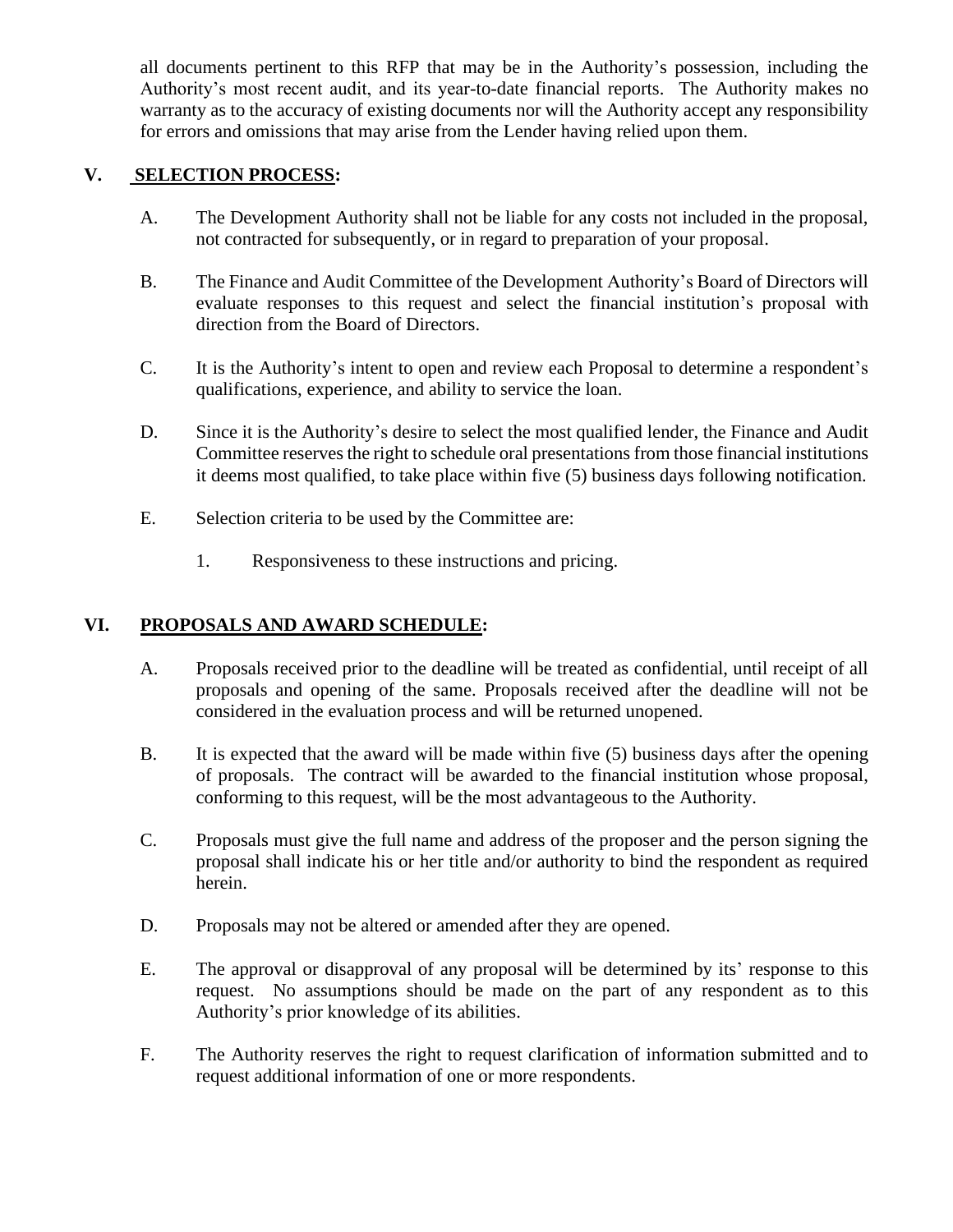all documents pertinent to this RFP that may be in the Authority's possession, including the Authority's most recent audit, and its year-to-date financial reports. The Authority makes no warranty as to the accuracy of existing documents nor will the Authority accept any responsibility for errors and omissions that may arise from the Lender having relied upon them.

#### **V. SELECTION PROCESS:**

- A. The Development Authority shall not be liable for any costs not included in the proposal, not contracted for subsequently, or in regard to preparation of your proposal.
- B. The Finance and Audit Committee of the Development Authority's Board of Directors will evaluate responses to this request and select the financial institution's proposal with direction from the Board of Directors.
- C. It is the Authority's intent to open and review each Proposal to determine a respondent's qualifications, experience, and ability to service the loan.
- D. Since it is the Authority's desire to select the most qualified lender, the Finance and Audit Committee reserves the right to schedule oral presentations from those financial institutions it deems most qualified, to take place within five (5) business days following notification.
- E. Selection criteria to be used by the Committee are:
	- 1. Responsiveness to these instructions and pricing.

## **VI. PROPOSALS AND AWARD SCHEDULE:**

- A. Proposals received prior to the deadline will be treated as confidential, until receipt of all proposals and opening of the same. Proposals received after the deadline will not be considered in the evaluation process and will be returned unopened.
- B. It is expected that the award will be made within five (5) business days after the opening of proposals. The contract will be awarded to the financial institution whose proposal, conforming to this request, will be the most advantageous to the Authority.
- C. Proposals must give the full name and address of the proposer and the person signing the proposal shall indicate his or her title and/or authority to bind the respondent as required herein.
- D. Proposals may not be altered or amended after they are opened.
- E. The approval or disapproval of any proposal will be determined by its' response to this request. No assumptions should be made on the part of any respondent as to this Authority's prior knowledge of its abilities.
- F. The Authority reserves the right to request clarification of information submitted and to request additional information of one or more respondents.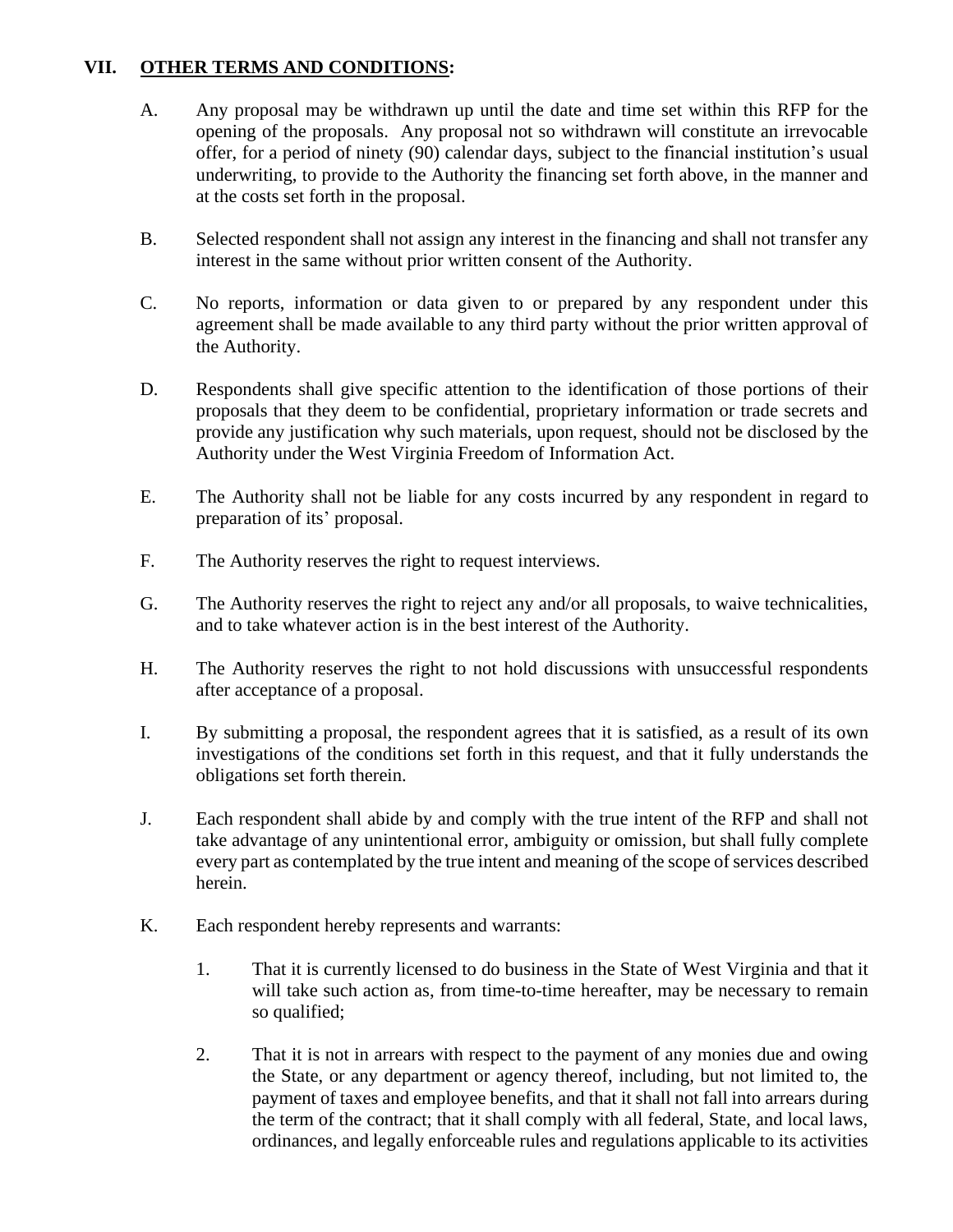#### **VII. OTHER TERMS AND CONDITIONS:**

- A. Any proposal may be withdrawn up until the date and time set within this RFP for the opening of the proposals. Any proposal not so withdrawn will constitute an irrevocable offer, for a period of ninety (90) calendar days, subject to the financial institution's usual underwriting, to provide to the Authority the financing set forth above, in the manner and at the costs set forth in the proposal.
- B. Selected respondent shall not assign any interest in the financing and shall not transfer any interest in the same without prior written consent of the Authority.
- C. No reports, information or data given to or prepared by any respondent under this agreement shall be made available to any third party without the prior written approval of the Authority.
- D. Respondents shall give specific attention to the identification of those portions of their proposals that they deem to be confidential, proprietary information or trade secrets and provide any justification why such materials, upon request, should not be disclosed by the Authority under the West Virginia Freedom of Information Act.
- E. The Authority shall not be liable for any costs incurred by any respondent in regard to preparation of its' proposal.
- F. The Authority reserves the right to request interviews.
- G. The Authority reserves the right to reject any and/or all proposals, to waive technicalities, and to take whatever action is in the best interest of the Authority.
- H. The Authority reserves the right to not hold discussions with unsuccessful respondents after acceptance of a proposal.
- I. By submitting a proposal, the respondent agrees that it is satisfied, as a result of its own investigations of the conditions set forth in this request, and that it fully understands the obligations set forth therein.
- J. Each respondent shall abide by and comply with the true intent of the RFP and shall not take advantage of any unintentional error, ambiguity or omission, but shall fully complete every part as contemplated by the true intent and meaning of the scope of services described herein.
- K. Each respondent hereby represents and warrants:
	- 1. That it is currently licensed to do business in the State of West Virginia and that it will take such action as, from time-to-time hereafter, may be necessary to remain so qualified;
	- 2. That it is not in arrears with respect to the payment of any monies due and owing the State, or any department or agency thereof, including, but not limited to, the payment of taxes and employee benefits, and that it shall not fall into arrears during the term of the contract; that it shall comply with all federal, State, and local laws, ordinances, and legally enforceable rules and regulations applicable to its activities